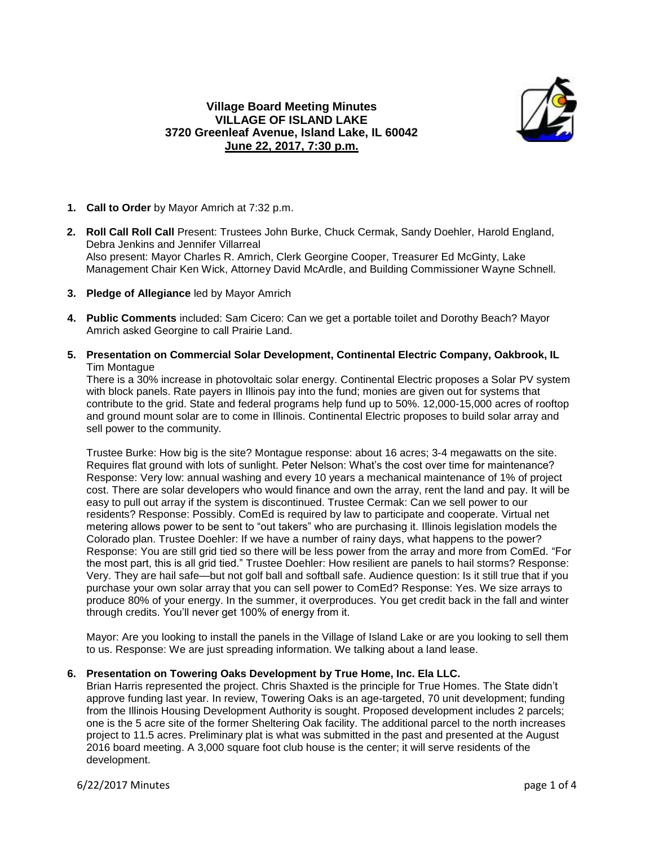## **Village Board Meeting Minutes VILLAGE OF ISLAND LAKE 3720 Greenleaf Avenue, Island Lake, IL 60042 June 22, 2017, 7:30 p.m.**



- **1. Call to Order** by Mayor Amrich at 7:32 p.m.
- **2. Roll Call Roll Call** Present: Trustees John Burke, Chuck Cermak, Sandy Doehler, Harold England, Debra Jenkins and Jennifer Villarreal Also present: Mayor Charles R. Amrich, Clerk Georgine Cooper, Treasurer Ed McGinty, Lake Management Chair Ken Wick, Attorney David McArdle, and Building Commissioner Wayne Schnell.
- **3. Pledge of Allegiance** led by Mayor Amrich
- **4. Public Comments** included: Sam Cicero: Can we get a portable toilet and Dorothy Beach? Mayor Amrich asked Georgine to call Prairie Land.
- **5. Presentation on Commercial Solar Development, Continental Electric Company, Oakbrook, IL** Tim Montague

There is a 30% increase in photovoltaic solar energy. Continental Electric proposes a Solar PV system with block panels. Rate payers in Illinois pay into the fund; monies are given out for systems that contribute to the grid. State and federal programs help fund up to 50%. 12,000-15,000 acres of rooftop and ground mount solar are to come in Illinois. Continental Electric proposes to build solar array and sell power to the community.

Trustee Burke: How big is the site? Montague response: about 16 acres; 3-4 megawatts on the site. Requires flat ground with lots of sunlight. Peter Nelson: What's the cost over time for maintenance? Response: Very low: annual washing and every 10 years a mechanical maintenance of 1% of project cost. There are solar developers who would finance and own the array, rent the land and pay. It will be easy to pull out array if the system is discontinued. Trustee Cermak: Can we sell power to our residents? Response: Possibly. ComEd is required by law to participate and cooperate. Virtual net metering allows power to be sent to "out takers" who are purchasing it. Illinois legislation models the Colorado plan. Trustee Doehler: If we have a number of rainy days, what happens to the power? Response: You are still grid tied so there will be less power from the array and more from ComEd. "For the most part, this is all grid tied." Trustee Doehler: How resilient are panels to hail storms? Response: Very. They are hail safe—but not golf ball and softball safe. Audience question: Is it still true that if you purchase your own solar array that you can sell power to ComEd? Response: Yes. We size arrays to produce 80% of your energy. In the summer, it overproduces. You get credit back in the fall and winter through credits. You'll never get 100% of energy from it.

Mayor: Are you looking to install the panels in the Village of Island Lake or are you looking to sell them to us. Response: We are just spreading information. We talking about a land lease.

## **6. Presentation on Towering Oaks Development by True Home, Inc. Ela LLC.**

Brian Harris represented the project. Chris Shaxted is the principle for True Homes. The State didn't approve funding last year. In review, Towering Oaks is an age-targeted, 70 unit development; funding from the Illinois Housing Development Authority is sought. Proposed development includes 2 parcels; one is the 5 acre site of the former Sheltering Oak facility. The additional parcel to the north increases project to 11.5 acres. Preliminary plat is what was submitted in the past and presented at the August 2016 board meeting. A 3,000 square foot club house is the center; it will serve residents of the development.

6/22/2017 Minutes page 1 of 4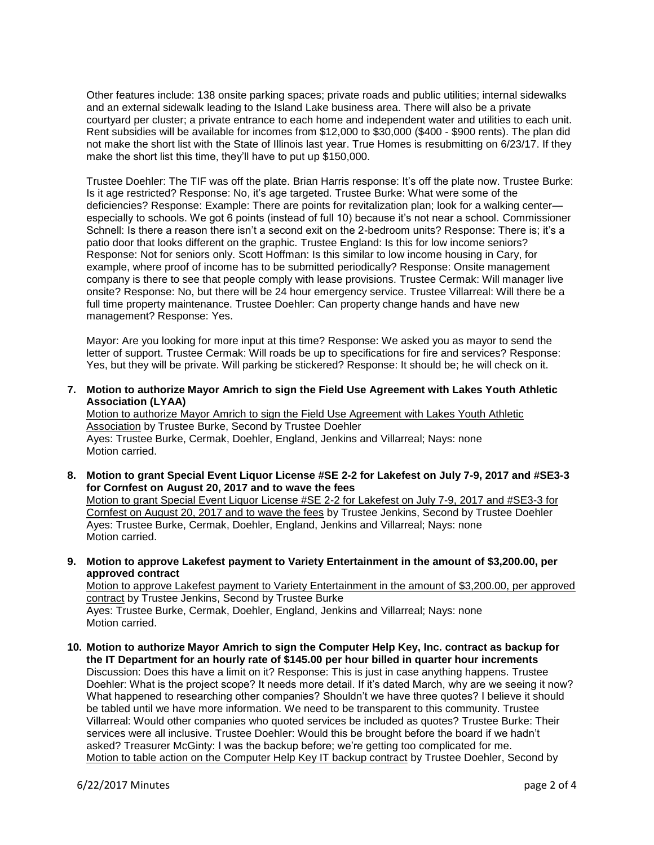Other features include: 138 onsite parking spaces; private roads and public utilities; internal sidewalks and an external sidewalk leading to the Island Lake business area. There will also be a private courtyard per cluster; a private entrance to each home and independent water and utilities to each unit. Rent subsidies will be available for incomes from \$12,000 to \$30,000 (\$400 - \$900 rents). The plan did not make the short list with the State of Illinois last year. True Homes is resubmitting on 6/23/17. If they make the short list this time, they'll have to put up \$150,000.

Trustee Doehler: The TIF was off the plate. Brian Harris response: It's off the plate now. Trustee Burke: Is it age restricted? Response: No, it's age targeted. Trustee Burke: What were some of the deficiencies? Response: Example: There are points for revitalization plan; look for a walking center especially to schools. We got 6 points (instead of full 10) because it's not near a school. Commissioner Schnell: Is there a reason there isn't a second exit on the 2-bedroom units? Response: There is; it's a patio door that looks different on the graphic. Trustee England: Is this for low income seniors? Response: Not for seniors only. Scott Hoffman: Is this similar to low income housing in Cary, for example, where proof of income has to be submitted periodically? Response: Onsite management company is there to see that people comply with lease provisions. Trustee Cermak: Will manager live onsite? Response: No, but there will be 24 hour emergency service. Trustee Villarreal: Will there be a full time property maintenance. Trustee Doehler: Can property change hands and have new management? Response: Yes.

Mayor: Are you looking for more input at this time? Response: We asked you as mayor to send the letter of support. Trustee Cermak: Will roads be up to specifications for fire and services? Response: Yes, but they will be private. Will parking be stickered? Response: It should be; he will check on it.

**7. Motion to authorize Mayor Amrich to sign the Field Use Agreement with Lakes Youth Athletic Association (LYAA)**

Motion to authorize Mayor Amrich to sign the Field Use Agreement with Lakes Youth Athletic Association by Trustee Burke, Second by Trustee Doehler Ayes: Trustee Burke, Cermak, Doehler, England, Jenkins and Villarreal; Nays: none Motion carried.

**8. Motion to grant Special Event Liquor License #SE 2-2 for Lakefest on July 7-9, 2017 and #SE3-3 for Cornfest on August 20, 2017 and to wave the fees** Motion to grant Special Event Liquor License #SE 2-2 for Lakefest on July 7-9, 2017 and #SE3-3 for Cornfest on August 20, 2017 and to wave the fees by Trustee Jenkins, Second by Trustee Doehler Ayes: Trustee Burke, Cermak, Doehler, England, Jenkins and Villarreal; Nays: none

Motion carried.

**9. Motion to approve Lakefest payment to Variety Entertainment in the amount of \$3,200.00, per approved contract**

Motion to approve Lakefest payment to Variety Entertainment in the amount of \$3,200.00, per approved contract by Trustee Jenkins, Second by Trustee Burke

Ayes: Trustee Burke, Cermak, Doehler, England, Jenkins and Villarreal; Nays: none Motion carried.

**10. Motion to authorize Mayor Amrich to sign the Computer Help Key, Inc. contract as backup for the IT Department for an hourly rate of \$145.00 per hour billed in quarter hour increments** Discussion: Does this have a limit on it? Response: This is just in case anything happens. Trustee Doehler: What is the project scope? It needs more detail. If it's dated March, why are we seeing it now? What happened to researching other companies? Shouldn't we have three quotes? I believe it should be tabled until we have more information. We need to be transparent to this community. Trustee Villarreal: Would other companies who quoted services be included as quotes? Trustee Burke: Their services were all inclusive. Trustee Doehler: Would this be brought before the board if we hadn't asked? Treasurer McGinty: I was the backup before; we're getting too complicated for me. Motion to table action on the Computer Help Key IT backup contract by Trustee Doehler, Second by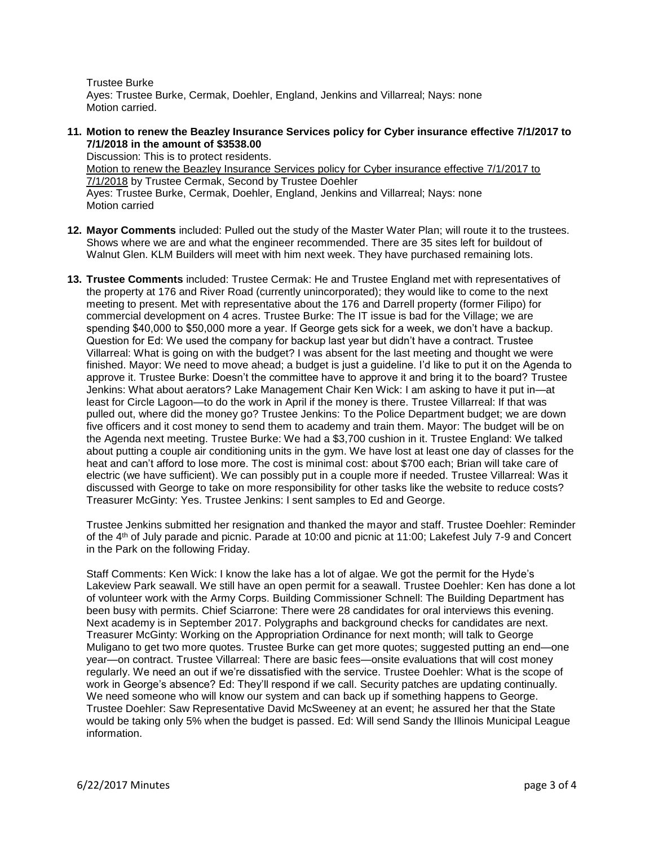Trustee Burke Ayes: Trustee Burke, Cermak, Doehler, England, Jenkins and Villarreal; Nays: none Motion carried.

**11. Motion to renew the Beazley Insurance Services policy for Cyber insurance effective 7/1/2017 to 7/1/2018 in the amount of \$3538.00**

Discussion: This is to protect residents. Motion to renew the Beazley Insurance Services policy for Cyber insurance effective 7/1/2017 to 7/1/2018 by Trustee Cermak, Second by Trustee Doehler Ayes: Trustee Burke, Cermak, Doehler, England, Jenkins and Villarreal; Nays: none Motion carried

- **12. Mayor Comments** included: Pulled out the study of the Master Water Plan; will route it to the trustees. Shows where we are and what the engineer recommended. There are 35 sites left for buildout of Walnut Glen. KLM Builders will meet with him next week. They have purchased remaining lots.
- **13. Trustee Comments** included: Trustee Cermak: He and Trustee England met with representatives of the property at 176 and River Road (currently unincorporated); they would like to come to the next meeting to present. Met with representative about the 176 and Darrell property (former Filipo) for commercial development on 4 acres. Trustee Burke: The IT issue is bad for the Village; we are spending \$40,000 to \$50,000 more a year. If George gets sick for a week, we don't have a backup. Question for Ed: We used the company for backup last year but didn't have a contract. Trustee Villarreal: What is going on with the budget? I was absent for the last meeting and thought we were finished. Mayor: We need to move ahead; a budget is just a guideline. I'd like to put it on the Agenda to approve it. Trustee Burke: Doesn't the committee have to approve it and bring it to the board? Trustee Jenkins: What about aerators? Lake Management Chair Ken Wick: I am asking to have it put in—at least for Circle Lagoon—to do the work in April if the money is there. Trustee Villarreal: If that was pulled out, where did the money go? Trustee Jenkins: To the Police Department budget; we are down five officers and it cost money to send them to academy and train them. Mayor: The budget will be on the Agenda next meeting. Trustee Burke: We had a \$3,700 cushion in it. Trustee England: We talked about putting a couple air conditioning units in the gym. We have lost at least one day of classes for the heat and can't afford to lose more. The cost is minimal cost: about \$700 each; Brian will take care of electric (we have sufficient). We can possibly put in a couple more if needed. Trustee Villarreal: Was it discussed with George to take on more responsibility for other tasks like the website to reduce costs? Treasurer McGinty: Yes. Trustee Jenkins: I sent samples to Ed and George.

Trustee Jenkins submitted her resignation and thanked the mayor and staff. Trustee Doehler: Reminder of the 4th of July parade and picnic. Parade at 10:00 and picnic at 11:00; Lakefest July 7-9 and Concert in the Park on the following Friday.

Staff Comments: Ken Wick: I know the lake has a lot of algae. We got the permit for the Hyde's Lakeview Park seawall. We still have an open permit for a seawall. Trustee Doehler: Ken has done a lot of volunteer work with the Army Corps. Building Commissioner Schnell: The Building Department has been busy with permits. Chief Sciarrone: There were 28 candidates for oral interviews this evening. Next academy is in September 2017. Polygraphs and background checks for candidates are next. Treasurer McGinty: Working on the Appropriation Ordinance for next month; will talk to George Muligano to get two more quotes. Trustee Burke can get more quotes; suggested putting an end—one year—on contract. Trustee Villarreal: There are basic fees—onsite evaluations that will cost money regularly. We need an out if we're dissatisfied with the service. Trustee Doehler: What is the scope of work in George's absence? Ed: They'll respond if we call. Security patches are updating continually. We need someone who will know our system and can back up if something happens to George. Trustee Doehler: Saw Representative David McSweeney at an event; he assured her that the State would be taking only 5% when the budget is passed. Ed: Will send Sandy the Illinois Municipal League information.